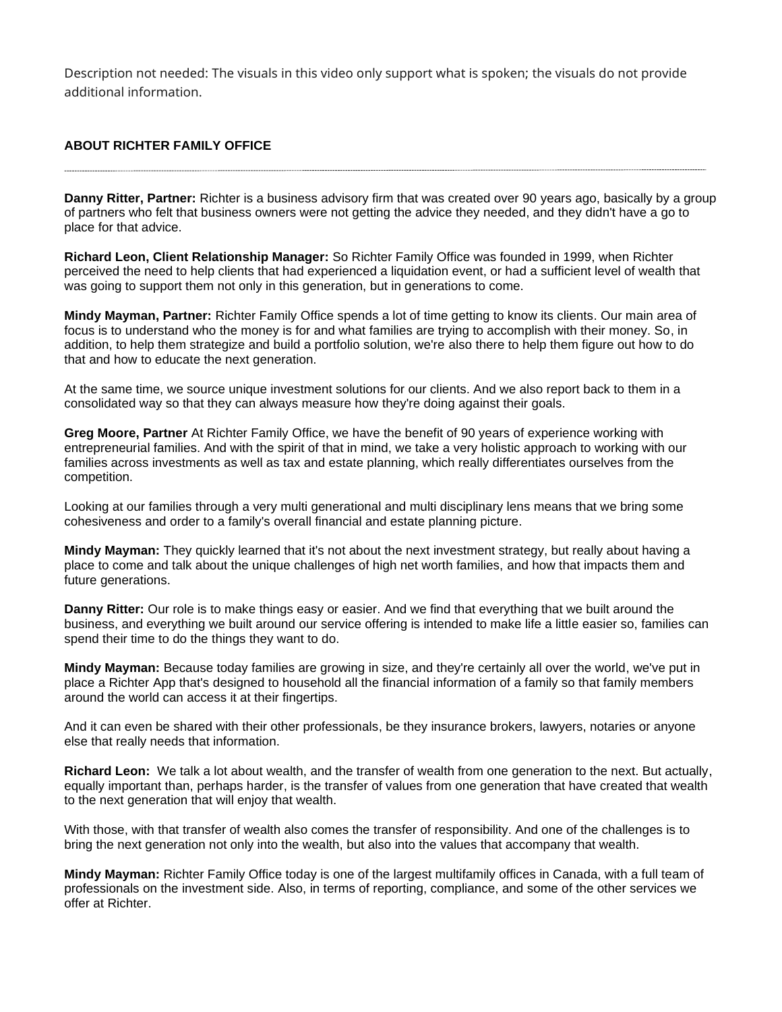Description not needed: The visuals in this video only support what is spoken; the visuals do not provide additional information.

## **ABOUT RICHTER FAMILY OFFICE**

**Danny Ritter, Partner:** Richter is a business advisory firm that was created over 90 years ago, basically by a group of partners who felt that business owners were not getting the advice they needed, and they didn't have a go to place for that advice.

**Richard Leon, Client Relationship Manager:** So Richter Family Office was founded in 1999, when Richter perceived the need to help clients that had experienced a liquidation event, or had a sufficient level of wealth that was going to support them not only in this generation, but in generations to come.

**Mindy Mayman, Partner:** Richter Family Office spends a lot of time getting to know its clients. Our main area of focus is to understand who the money is for and what families are trying to accomplish with their money. So, in addition, to help them strategize and build a portfolio solution, we're also there to help them figure out how to do that and how to educate the next generation.

At the same time, we source unique investment solutions for our clients. And we also report back to them in a consolidated way so that they can always measure how they're doing against their goals.

**Greg Moore, Partner** At Richter Family Office, we have the benefit of 90 years of experience working with entrepreneurial families. And with the spirit of that in mind, we take a very holistic approach to working with our families across investments as well as tax and estate planning, which really differentiates ourselves from the competition.

Looking at our families through a very multi generational and multi disciplinary lens means that we bring some cohesiveness and order to a family's overall financial and estate planning picture.

**Mindy Mayman:** They quickly learned that it's not about the next investment strategy, but really about having a place to come and talk about the unique challenges of high net worth families, and how that impacts them and future generations.

**Danny Ritter:** Our role is to make things easy or easier. And we find that everything that we built around the business, and everything we built around our service offering is intended to make life a little easier so, families can spend their time to do the things they want to do.

**Mindy Mayman:** Because today families are growing in size, and they're certainly all over the world, we've put in place a Richter App that's designed to household all the financial information of a family so that family members around the world can access it at their fingertips.

And it can even be shared with their other professionals, be they insurance brokers, lawyers, notaries or anyone else that really needs that information.

**Richard Leon:** We talk a lot about wealth, and the transfer of wealth from one generation to the next. But actually, equally important than, perhaps harder, is the transfer of values from one generation that have created that wealth to the next generation that will enjoy that wealth.

With those, with that transfer of wealth also comes the transfer of responsibility. And one of the challenges is to bring the next generation not only into the wealth, but also into the values that accompany that wealth.

**Mindy Mayman:** Richter Family Office today is one of the largest multifamily offices in Canada, with a full team of professionals on the investment side. Also, in terms of reporting, compliance, and some of the other services we offer at Richter.